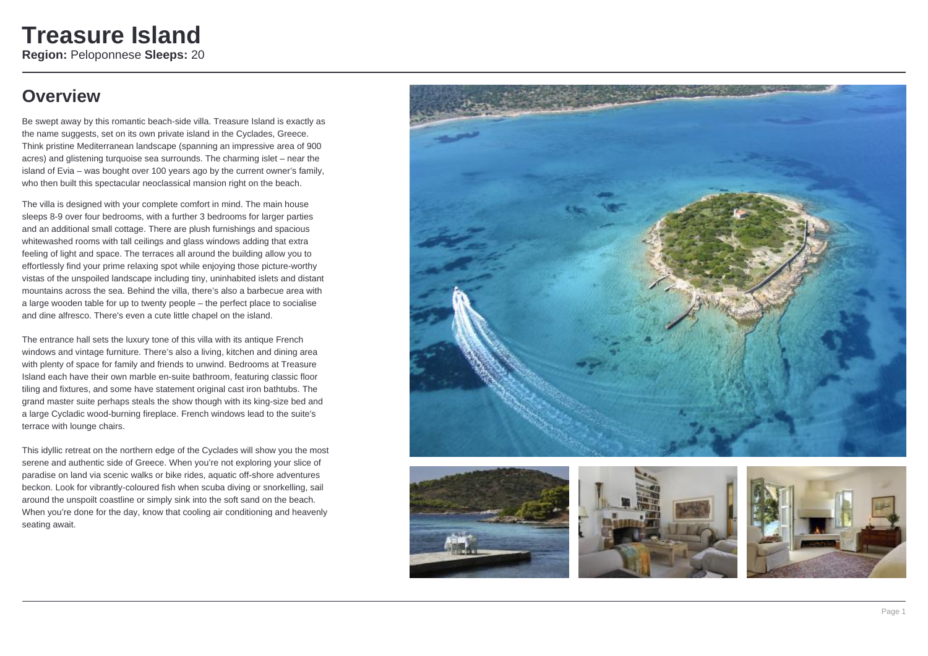### **Overview**

Be swept away by this romantic beach-side villa. Treasure Island is exactly as the name suggests, set on its own private island in the Cyclades, Greece. Think pristine Mediterranean landscape (spanning an impressive area of 900 acres) and glistening turquoise sea surrounds. The charming islet – near the island of Evia – was bought over 100 years ago by the current owner's family, who then built this spectacular neoclassical mansion right on the beach.

The villa is designed with your complete comfort in mind. The main house sleeps 8-9 over four bedrooms, with a further 3 bedrooms for larger parties and an additional small cottage. There are plush furnishings and spacious whitewashed rooms with tall ceilings and glass windows adding that extra feeling of light and space. The terraces all around the building allow you to effortlessly find your prime relaxing spot while enjoying those picture-worthy vistas of the unspoiled landscape including tiny, uninhabited islets and distant mountains across the sea. Behind the villa, there's also a barbecue area with a large wooden table for up to twenty people – the perfect place to socialise and dine alfresco. There's even a cute little chapel on the island.

The entrance hall sets the luxury tone of this villa with its antique French windows and vintage furniture. There's also a living, kitchen and dining area with plenty of space for family and friends to unwind. Bedrooms at Treasure Island each have their own marble en-suite bathroom, featuring classic floor tiling and fixtures, and some have statement original cast iron bathtubs. The grand master suite perhaps steals the show though with its king-size bed and a large Cycladic wood-burning fireplace. French windows lead to the suite's terrace with lounge chairs.

This idyllic retreat on the northern edge of the Cyclades will show you the most serene and authentic side of Greece. When you're not exploring your slice of paradise on land via scenic walks or bike rides, aquatic off-shore adventures beckon. Look for vibrantly-coloured fish when scuba diving or snorkelling, sail around the unspoilt coastline or simply sink into the soft sand on the beach. When you're done for the day, know that cooling air conditioning and heavenly seating await.







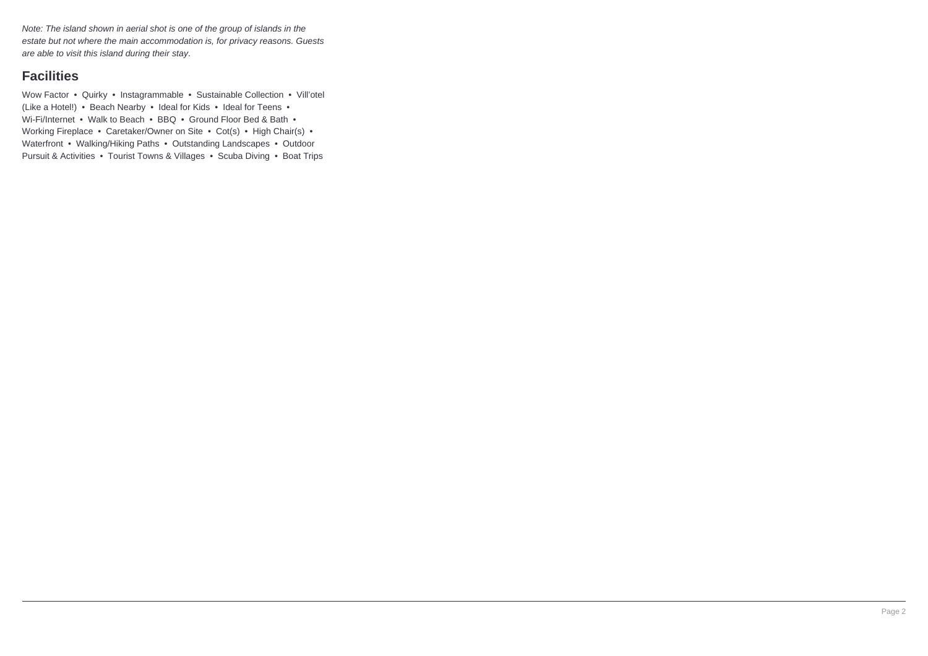Note: The island shown in aerial shot is one of the group of islands in the estate but not where the main accommodation is, for privacy reasons. Guests are able to visit this island during their stay.

### **Facilities**

Wow Factor • Quirky • Instagrammable • Sustainable Collection • Vill'otel (Like a Hotel!) • Beach Nearby • Ideal for Kids • Ideal for Teens • Wi-Fi/Internet • Walk to Beach • BBQ • Ground Floor Bed & Bath • Working Fireplace • Caretaker/Owner on Site • Cot(s) • High Chair(s) • Waterfront • Walking/Hiking Paths • Outstanding Landscapes • Outdoor Pursuit & Activities • Tourist Towns & Villages • Scuba Diving • Boat Trips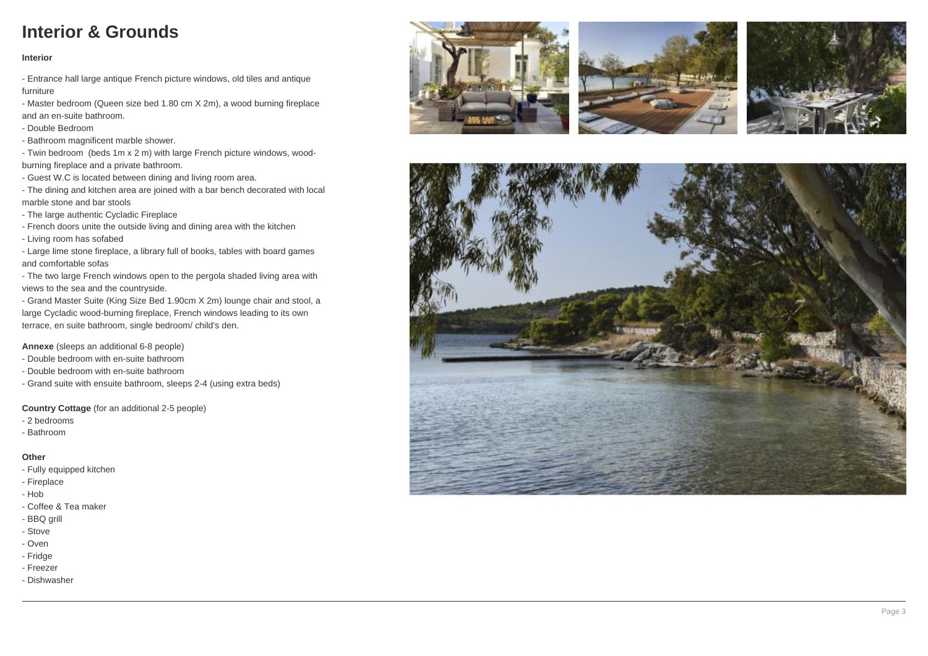# **Interior & Grounds**

### **Interior**

- Entrance hall large antique French picture windows, old tiles and antique furniture

- Master bedroom (Queen size bed 1.80 cm X 2m), a wood burning fireplace and an en-suite bathroom.

- Double Bedroom

- Bathroom magnificent marble shower.

- Twin bedroom (beds 1m x 2 m) with large French picture windows, woodburning fireplace and a private bathroom.

- Guest W.C is located between dining and living room area.

- The dining and kitchen area are joined with a bar bench decorated with local marble stone and bar stools

- The large authentic Cycladic Fireplace

- French doors unite the outside living and dining area with the kitchen

- Living room has sofabed

- Large lime stone fireplace, a library full of books, tables with board games and comfortable sofas

- The two large French windows open to the pergola shaded living area with views to the sea and the countryside.

- Grand Master Suite (King Size Bed 1.90cm X 2m) lounge chair and stool, a large Cycladic wood-burning fireplace, French windows leading to its own terrace, en suite bathroom, single bedroom/ child's den.

**Annexe** (sleeps an additional 6-8 people)

- Double bedroom with en-suite bathroom

- Double bedroom with en-suite bathroom

- Grand suite with ensuite bathroom, sleeps 2-4 (using extra beds)

**Country Cottage** (for an additional 2-5 people)

- 2 bedrooms
- Bathroom

### **Other**

- Fully equipped kitchen
- Fireplace
- Hob
- Coffee & Tea maker
- BBQ grill
- Stove
- Oven
- Fridge
- Freezer
- Dishwasher







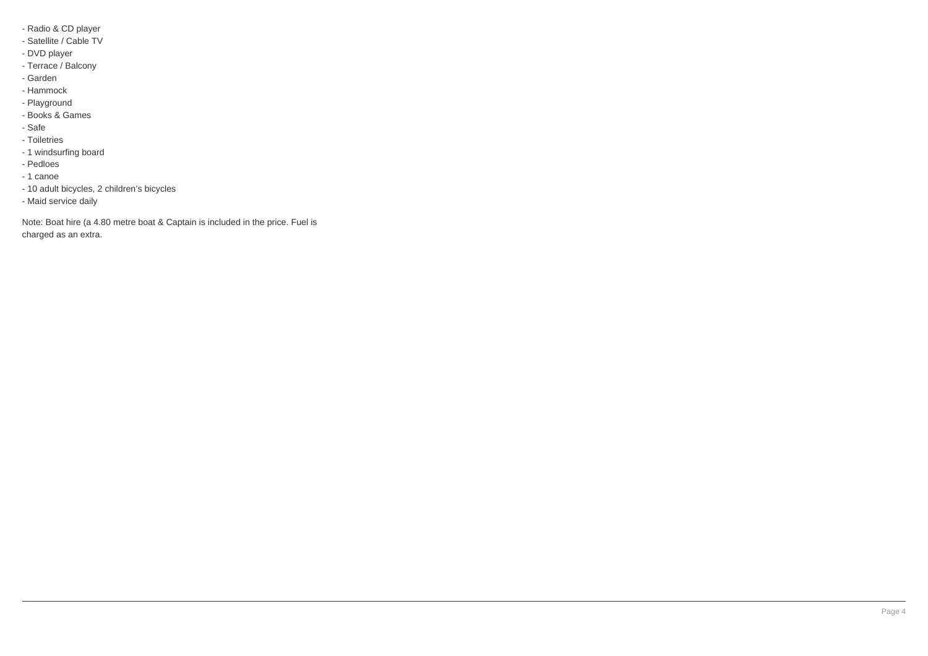- Radio & CD player
- Satellite / Cable TV
- DVD player
- Terrace / Balcony
- Garden
- Hammock
- Playground
- Books & Games
- Safe
- Toiletries
- 1 windsurfing board
- Pedloes
- 1 canoe
- 10 adult bicycles, 2 children's bicycles
- Maid service daily

Note: Boat hire (a 4.80 metre boat & Captain is included in the price. Fuel is charged as an extra.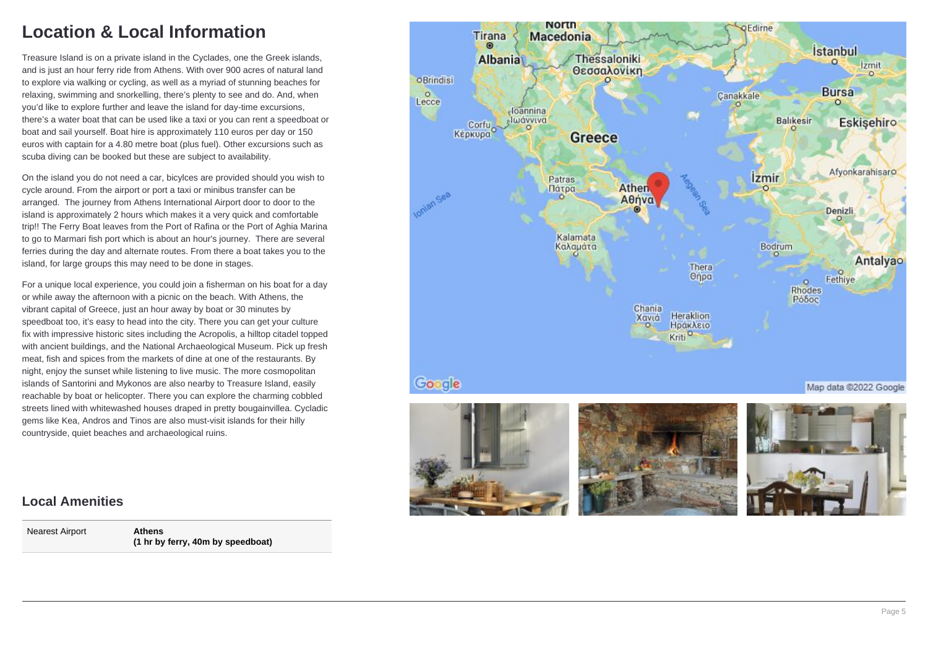# **Location & Local Information**

Treasure Island is on a private island in the Cyclades, one the Greek islands, and is just an hour ferry ride from Athens. With over 900 acres of natural land to explore via walking or cycling, as well as a myriad of stunning beaches for relaxing, swimming and snorkelling, there's plenty to see and do. And, when you'd like to explore further and leave the island for day-time excursions, there's a water boat that can be used like a taxi or you can rent a speedboat or boat and sail yourself. Boat hire is approximately 110 euros per day or 150 euros with captain for a 4.80 metre boat (plus fuel). Other excursions such as scuba diving can be booked but these are subject to availability.

On the island you do not need a car, bicylces are provided should you wish to cycle around. From the airport or port a taxi or minibus transfer can be arranged. The journey from Athens International Airport door to door to the island is approximately 2 hours which makes it a very quick and comfortable trip!! The Ferry Boat leaves from the Port of Rafina or the Port of Aghia Marina to go to Marmari fish port which is about an hour's journey. There are several ferries during the day and alternate routes. From there a boat takes you to the island, for large groups this may need to be done in stages.

For a unique local experience, you could join a fisherman on his boat for a day or while away the afternoon with a picnic on the beach. With Athens, the vibrant capital of Greece, just an hour away by boat or 30 minutes by speedboat too, it's easy to head into the city. There you can get your culture fix with impressive historic sites including the Acropolis, a hilltop citadel topped with ancient buildings, and the National Archaeological Museum. Pick up fresh meat, fish and spices from the markets of dine at one of the restaurants. By night, enjoy the sunset while listening to live music. The more cosmopolitan islands of Santorini and Mykonos are also nearby to Treasure Island, easily reachable by boat or helicopter. There you can explore the charming cobbled streets lined with whitewashed houses draped in pretty bougainvillea. Cycladic gems like Kea, Andros and Tinos are also must-visit islands for their hilly countryside, quiet beaches and archaeological ruins.

#### **North** Edirne Macedonia Tirana  $\omega$ İstanbul Thessaloniki Albania  $\Omega$ **Jzmit** Θεσσαλονίκη  $\sim$ **o**Brindisi **Bursa**  $\circ$ Canakkale Lecce  $\circ$ -Ioannina -Ιωάννινα **Balikesin** Eskisehiro Corfu<sub>o</sub> 'n **Greece** Afyonkarahisaro İzmir Patras Ather Πάτρα Ionian Sea Aθήνα Denizli Kalamata Καλαμάτα Bodrum Antalyao Thera Fethiye Onpa  $\circ$ Rhodes Pόδος Chania Heraklion Χανιά Ηράκλειο Kriti<sup>o</sup> Google Map data @2022 Google

### **Local Amenities**

Nearest Airport **Athens**

**(1 hr by ferry, 40m by speedboat)**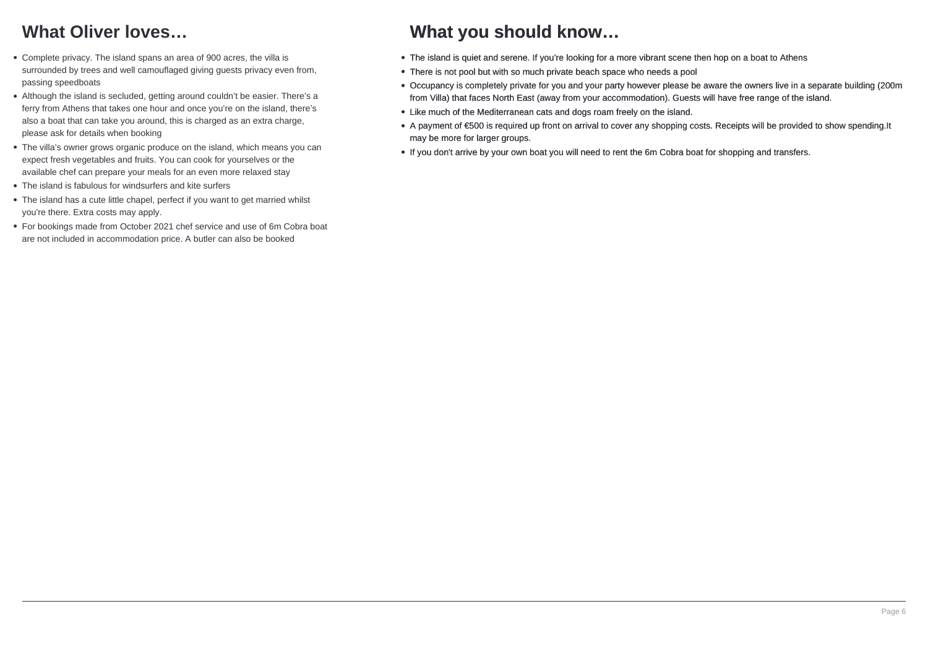# **What Oliver loves…**

- Complete privacy. The island spans an area of 900 acres, the villa is surrounded by trees and well camouflaged giving guests privacy even from, passing speedboats
- Although the island is secluded, getting around couldn't be easier. There's a ferry from Athens that takes one hour and once you're on the island, there's also a boat that can take you around, this is charged as an extra charge, please ask for details when booking
- The villa's owner grows organic produce on the island, which means you can expect fresh vegetables and fruits. You can cook for yourselves or the available chef can prepare your meals for an even more relaxed stay
- The island is fabulous for windsurfers and kite surfers
- The island has a cute little chapel, perfect if you want to get married whilst you're there. Extra costs may apply.
- For bookings made from October 2021 chef service and use of 6m Cobra boat are not included in accommodation price. A butler can also be booked

### **What you should know…**

- The island is quiet and serene. If you're looking for a more vibrant scene then hop on a boat to Athens
- There is not pool but with so much private beach space who needs a pool
- Occupancy is completely private for you and your party however please be aware the owners live in a separate building (200m from Villa) that faces North East (away from your accommodation). Guests will have free range of the island.
- Like much of the Mediterranean cats and dogs roam freely on the island.
- A payment of €500 is required up front on arrival to cover any shopping costs. Receipts will be provided to show spending.It may be more for larger groups.
- If you don't arrive by your own boat you will need to rent the 6m Cobra boat for shopping and transfers.